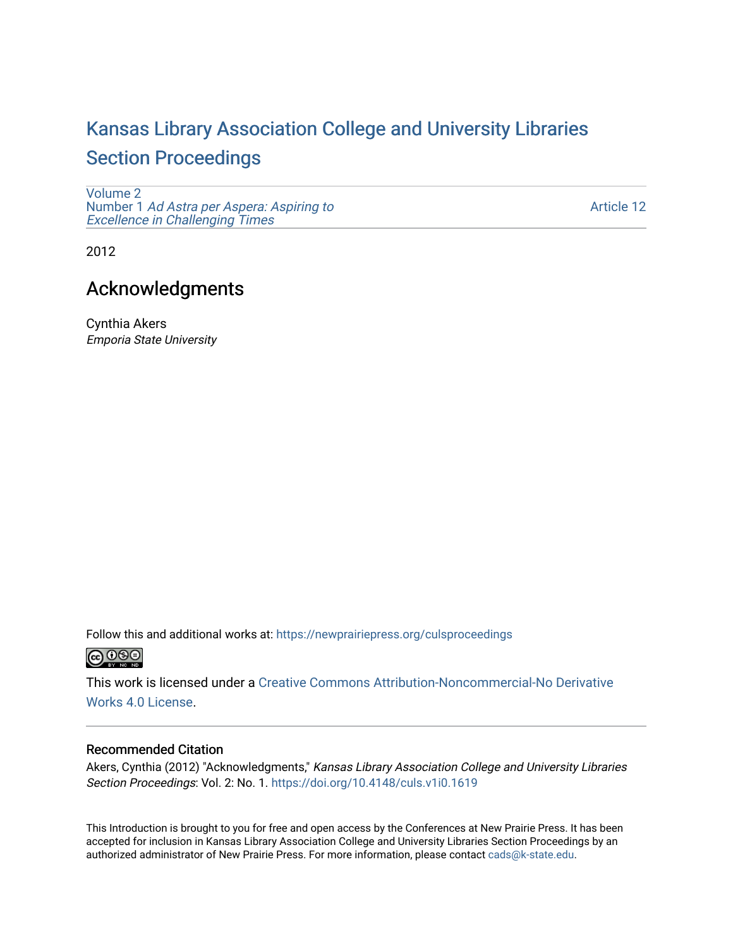# [Kansas Library Association College and University Libraries](https://newprairiepress.org/culsproceedings)  [Section Proceedings](https://newprairiepress.org/culsproceedings)

[Volume 2](https://newprairiepress.org/culsproceedings/vol2) Number 1 [Ad Astra per Aspera: Aspiring to](https://newprairiepress.org/culsproceedings/vol2/iss1)  Excellence in Challenging Times

[Article 12](https://newprairiepress.org/culsproceedings/vol2/iss1/12) 

2012

## Acknowledgments

Cynthia Akers Emporia State University

Follow this and additional works at: [https://newprairiepress.org/culsproceedings](https://newprairiepress.org/culsproceedings?utm_source=newprairiepress.org%2Fculsproceedings%2Fvol2%2Fiss1%2F12&utm_medium=PDF&utm_campaign=PDFCoverPages) 

This work is licensed under a [Creative Commons Attribution-Noncommercial-No Derivative](https://creativecommons.org/licenses/by-nc-nd/4.0/)  [Works 4.0 License](https://creativecommons.org/licenses/by-nc-nd/4.0/).

#### Recommended Citation

Akers, Cynthia (2012) "Acknowledgments," Kansas Library Association College and University Libraries Section Proceedings: Vol. 2: No. 1. <https://doi.org/10.4148/culs.v1i0.1619>

This Introduction is brought to you for free and open access by the Conferences at New Prairie Press. It has been accepted for inclusion in Kansas Library Association College and University Libraries Section Proceedings by an authorized administrator of New Prairie Press. For more information, please contact [cads@k-state.edu.](mailto:cads@k-state.edu)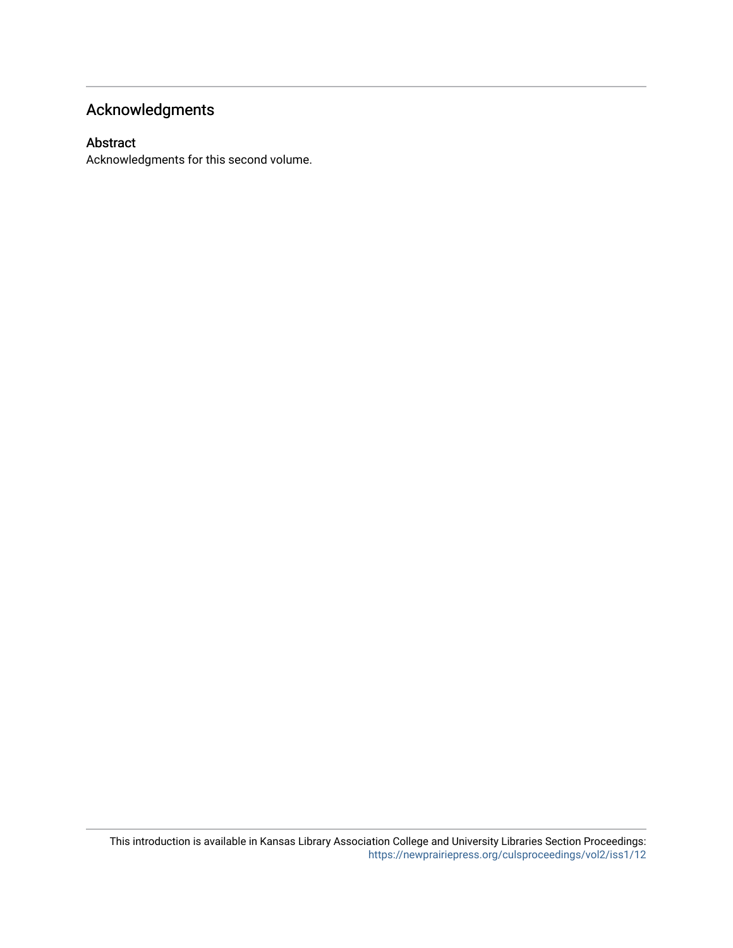## Acknowledgments

#### Abstract

Acknowledgments for this second volume.